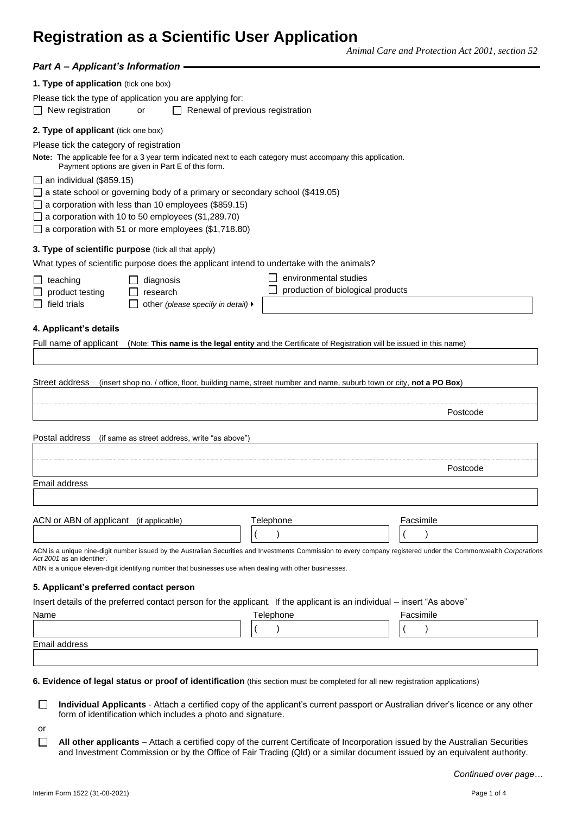# **Registration as a Scientific User Application**

*Animal Care and Protection Act 2001, section 52*

| <b>Part A - Applicant's Information</b>             |                                                                                                                                                                  |                                  |                                                                                                                                                                  |
|-----------------------------------------------------|------------------------------------------------------------------------------------------------------------------------------------------------------------------|----------------------------------|------------------------------------------------------------------------------------------------------------------------------------------------------------------|
| 1. Type of application (tick one box)               |                                                                                                                                                                  |                                  |                                                                                                                                                                  |
|                                                     | Please tick the type of application you are applying for:                                                                                                        |                                  |                                                                                                                                                                  |
| $\Box$ New registration                             | or                                                                                                                                                               | Renewal of previous registration |                                                                                                                                                                  |
| 2. Type of applicant (tick one box)                 |                                                                                                                                                                  |                                  |                                                                                                                                                                  |
| Please tick the category of registration            |                                                                                                                                                                  |                                  |                                                                                                                                                                  |
|                                                     | Note: The applicable fee for a 3 year term indicated next to each category must accompany this application.<br>Payment options are given in Part E of this form. |                                  |                                                                                                                                                                  |
| $\Box$ an individual (\$859.15)                     |                                                                                                                                                                  |                                  |                                                                                                                                                                  |
|                                                     | $\Box$ a state school or governing body of a primary or secondary school (\$419.05)                                                                              |                                  |                                                                                                                                                                  |
|                                                     | $\Box$ a corporation with less than 10 employees (\$859.15)                                                                                                      |                                  |                                                                                                                                                                  |
|                                                     | $\Box$ a corporation with 10 to 50 employees (\$1,289.70)                                                                                                        |                                  |                                                                                                                                                                  |
|                                                     | $\Box$ a corporation with 51 or more employees (\$1,718.80)                                                                                                      |                                  |                                                                                                                                                                  |
| 3. Type of scientific purpose (tick all that apply) |                                                                                                                                                                  |                                  |                                                                                                                                                                  |
|                                                     | What types of scientific purpose does the applicant intend to undertake with the animals?                                                                        |                                  |                                                                                                                                                                  |
| teaching                                            | diagnosis                                                                                                                                                        | environmental studies            |                                                                                                                                                                  |
| product testing                                     | research                                                                                                                                                         |                                  | production of biological products                                                                                                                                |
| field trials                                        | other (please specify in detail) ▶                                                                                                                               |                                  |                                                                                                                                                                  |
|                                                     |                                                                                                                                                                  |                                  |                                                                                                                                                                  |
| 4. Applicant's details                              |                                                                                                                                                                  |                                  |                                                                                                                                                                  |
| Full name of applicant                              |                                                                                                                                                                  |                                  | (Note: This name is the legal entity and the Certificate of Registration will be issued in this name)                                                            |
|                                                     |                                                                                                                                                                  |                                  |                                                                                                                                                                  |
| Street address                                      |                                                                                                                                                                  |                                  | (insert shop no. / office, floor, building name, street number and name, suburb town or city, not a PO Box)                                                      |
|                                                     |                                                                                                                                                                  |                                  | Postcode                                                                                                                                                         |
| Postal address                                      | (if same as street address, write "as above")                                                                                                                    |                                  |                                                                                                                                                                  |
|                                                     |                                                                                                                                                                  |                                  |                                                                                                                                                                  |
|                                                     |                                                                                                                                                                  |                                  | Postcode                                                                                                                                                         |
| Email address                                       |                                                                                                                                                                  |                                  |                                                                                                                                                                  |
|                                                     |                                                                                                                                                                  |                                  |                                                                                                                                                                  |
| ACN or ABN of applicant (if applicable)             |                                                                                                                                                                  | Telephone                        | Facsimile                                                                                                                                                        |
|                                                     |                                                                                                                                                                  |                                  |                                                                                                                                                                  |
|                                                     |                                                                                                                                                                  |                                  | ACN is a unique nine-digit number issued by the Australian Securities and Investments Commission to every company registered under the Commonwealth Corporations |
| Act 2001 as an identifier.                          | ABN is a unique eleven-digit identifying number that businesses use when dealing with other businesses.                                                          |                                  |                                                                                                                                                                  |
| 5. Applicant's preferred contact person             |                                                                                                                                                                  |                                  |                                                                                                                                                                  |
|                                                     |                                                                                                                                                                  |                                  | Insert details of the preferred contact person for the applicant. If the applicant is an individual – insert "As above"                                          |
| Name                                                |                                                                                                                                                                  | Telephone                        | Facsimile                                                                                                                                                        |
|                                                     |                                                                                                                                                                  |                                  |                                                                                                                                                                  |
|                                                     |                                                                                                                                                                  |                                  |                                                                                                                                                                  |
| Email address                                       |                                                                                                                                                                  |                                  |                                                                                                                                                                  |
|                                                     |                                                                                                                                                                  |                                  |                                                                                                                                                                  |
|                                                     |                                                                                                                                                                  |                                  | 6. Evidence of legal status or proof of identification (this section must be completed for all new registration applications)                                    |

 $\Box$ **Individual Applicants** - Attach a certified copy of the applicant's current passport or Australian driver's licence or any other form of identification which includes a photo and signature.

- or
- $\Box$ **All other applicants** – Attach a certified copy of the current Certificate of Incorporation issued by the Australian Securities and Investment Commission or by the Office of Fair Trading (Qld) or a similar document issued by an equivalent authority.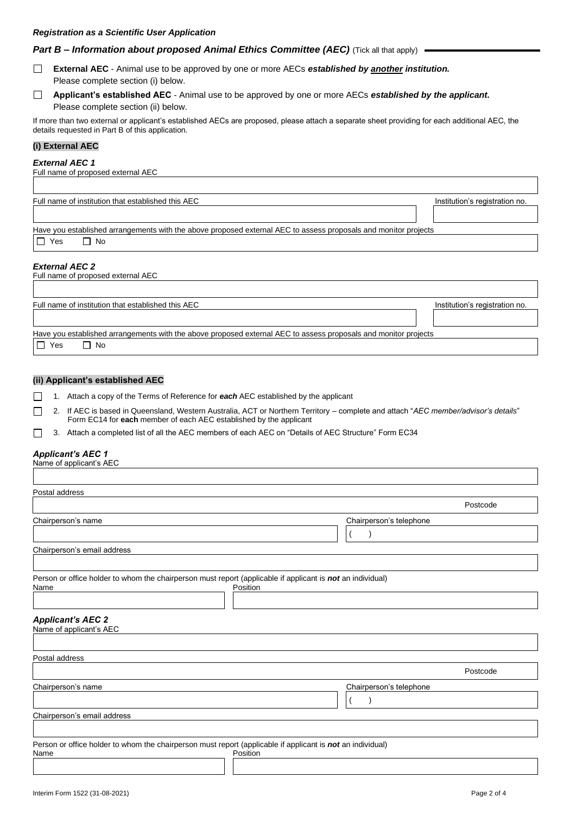### *Registration as a Scientific User Application*

### *Part B – Information about proposed Animal Ethics Committee (AEC)* **(Tick all that apply)**

**External AEC** - Animal use to be approved by one or more AECs *established by another institution.*   $\Box$ Please complete section (i) below.

 $\Box$ **Applicant's established AEC** - Animal use to be approved by one or more AECs *established by the applicant.* Please complete section (ii) below.

If more than two external or applicant's established AECs are proposed, please attach a separate sheet providing for each additional AEC, the details requested in Part B of this application.

### **(i) External AEC**

# *External AEC 1*

| External AEC 1                                                                                                  |                                |
|-----------------------------------------------------------------------------------------------------------------|--------------------------------|
| Full name of proposed external AEC                                                                              |                                |
|                                                                                                                 |                                |
| Full name of institution that established this AEC                                                              | Institution's registration no. |
|                                                                                                                 |                                |
| Have you established arrangements with the above proposed external AEC to assess proposals and monitor projects |                                |
| П.<br>Yes<br>□ No                                                                                               |                                |
| <b>External AEC 2</b><br>Full name of proposed external AEC                                                     |                                |

| Full name of institution that established this AEC                                                              | Institution's registration no. |
|-----------------------------------------------------------------------------------------------------------------|--------------------------------|
|                                                                                                                 |                                |
| Have you established arrangements with the above proposed external AEC to assess proposals and monitor projects |                                |
| $\Box$<br>l I No<br>Yes                                                                                         |                                |
|                                                                                                                 |                                |

# **(ii) Applicant's established AEC**

- 1. Attach a copy of the Terms of Reference for *each* AEC established by the applicant  $\Box$
- 2. If AEC is based in Queensland, Western Australia, ACT or Northern Territory complete and attach "*AEC member/advisor's details*"  $\Box$ Form EC14 for **each** member of each AEC established by the applicant
- 3. Attach a completed list of all the AEC members of each AEC on "Details of AEC Structure" Form EC34  $\Box$

# *Applicant's AEC 1*

| Name of applicant's AEC |  |
|-------------------------|--|
|-------------------------|--|

| Postal address                                                                                                                 |                         |
|--------------------------------------------------------------------------------------------------------------------------------|-------------------------|
|                                                                                                                                | Postcode                |
| Chairperson's name                                                                                                             | Chairperson's telephone |
|                                                                                                                                |                         |
| Chairperson's email address                                                                                                    |                         |
|                                                                                                                                |                         |
| Person or office holder to whom the chairperson must report (applicable if applicant is not an individual)<br>Name<br>Position |                         |
|                                                                                                                                |                         |
| <b>Applicant's AEC 2</b><br>Name of applicant's AEC                                                                            |                         |
| Postal address                                                                                                                 |                         |
|                                                                                                                                | Postcode                |
| Chairperson's name                                                                                                             | Chairperson's telephone |
|                                                                                                                                |                         |
| Chairperson's email address                                                                                                    |                         |
|                                                                                                                                |                         |
| Person or office holder to whom the chairperson must report (applicable if applicant is not an individual)<br>Position<br>Name |                         |
|                                                                                                                                |                         |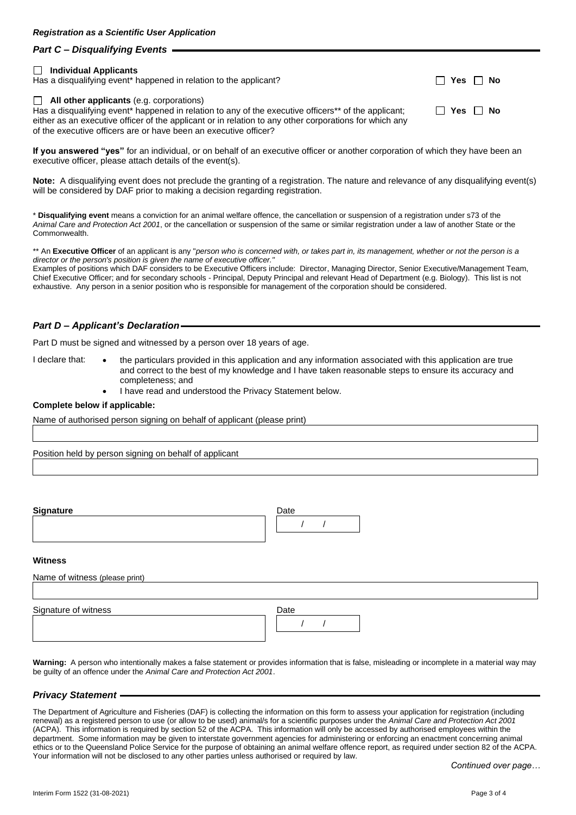# *Part C – Disqualifying Events* **Individual Applicants**

Has a disqualifying event<sup>\*</sup> happened in relation to the applicant? *Wes* No

**All other applicants** (e.g. corporations)

Has a disqualifying event<sup>\*</sup> happened in relation to any of the executive officers<sup>\*\*</sup> of the applicant; **For Secure 15 Yes**  $\Box$  **No** either as an executive officer of the applicant or in relation to any other corporations for which any of the executive officers are or have been an executive officer?

**If you answered "yes"** for an individual, or on behalf of an executive officer or another corporation of which they have been an executive officer, please attach details of the event(s).

**Note:** A disqualifying event does not preclude the granting of a registration. The nature and relevance of any disqualifying event(s) will be considered by DAF prior to making a decision regarding registration.

\* **Disqualifying event** means a conviction for an animal welfare offence, the cancellation or suspension of a registration under s73 of the *Animal Care and Protection Act 2001*, or the cancellation or suspension of the same or similar registration under a law of another State or the Commonwealth.

\*\* An **Executive Officer** of an applicant is any "person who is concerned with, or takes part in, its management, whether or not the person is a director or the person's position is given the name of executive officer.

Examples of positions which DAF considers to be Executive Officers include: Director, Managing Director, Senior Executive/Management Team, Chief Executive Officer; and for secondary schools - Principal, Deputy Principal and relevant Head of Department (e.g. Biology). This list is not exhaustive. Any person in a senior position who is responsible for management of the corporation should be considered.

# *Part D – Applicant's Declaration*

Part D must be signed and witnessed by a person over 18 years of age.

- I declare that: the particulars provided in this application and any information associated with this application are true and correct to the best of my knowledge and I have taken reasonable steps to ensure its accuracy and completeness; and
	- I have read and understood the Privacy Statement below.

### **Complete below if applicable:**

Name of authorised person signing on behalf of applicant (please print)

Position held by person signing on behalf of applicant

**Signature** Date Date **Date Community Contract Community** Date Date

/ /

### **Witness**

| Name of witness (please print) |      |
|--------------------------------|------|
|                                |      |
| Signature of witness           | Date |

**Warning:** A person who intentionally makes a false statement or provides information that is false, misleading or incomplete in a material way may be guilty of an offence under the *Animal Care and Protection Act 2001*.

### *Privacy Statement*

The Department of Agriculture and Fisheries (DAF) is collecting the information on this form to assess your application for registration (including renewal) as a registered person to use (or allow to be used) animal/s for a scientific purposes under the *Animal Care and Protection Act 2001*  (ACPA). This information is required by section 52 of the ACPA. This information will only be accessed by authorised employees within the department. Some information may be given to interstate government agencies for administering or enforcing an enactment concerning animal ethics or to the Queensland Police Service for the purpose of obtaining an animal welfare offence report, as required under section 82 of the ACPA. Your information will not be disclosed to any other parties unless authorised or required by law.